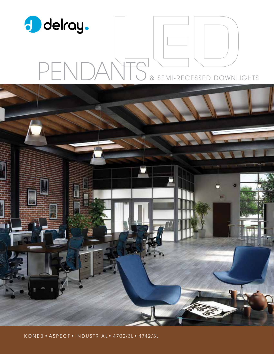

# **PENDANTS & SEMI-RECESSED DOWNLIGHTS**



KONE 3 • ASPEC T • INDUSTRIAL • 4702/3L • 4742/3L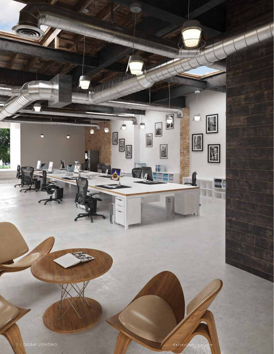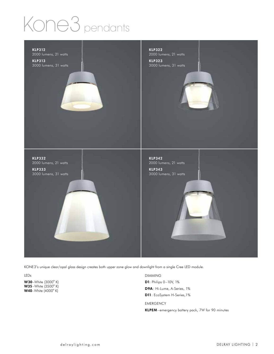### Kone3 pendants



KONE3's unique clear/opal glass design creates both upper zone glow and downlight from a single Cree LED module.

LEDs

**W30**–White (3000° K) **W35**–White (3500° K) **W40**–White (4000° K)

DIMMING D1: Philips 0–10V, 1% D9A: Hi-Lume, A-Series, 1% D11: EcoSystem H-Series,1% **EMERGENCY** KLPEM –emergency battery pack, 7W for 90 minutes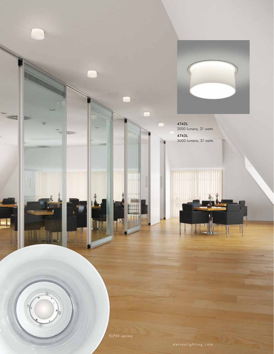

4742L 2000 lumens, 21 watts

4743L 3000 lumens, 31 watts

*KLP34 upview*

 $\frac{1}{2}$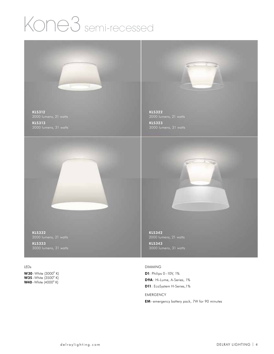### Kone3 semi-recessed



KLS312

KLS313



KLS333

### LEDs

W30–White (3000º K) W35–White (3500º K) W40–White (4000º K)



KLS322 2000 lumens, 21 watts

KLS323



KLS342 KLS343 3000 lumens, 31 watts

### DIMMING

D1: Philips 0–10V, 1% D9A: Hi-Lume, A-Series, 1% D11: EcoSystem H-Series,1%

EMERGENCY

EM –emergency battery pack, 7W for 90 minutes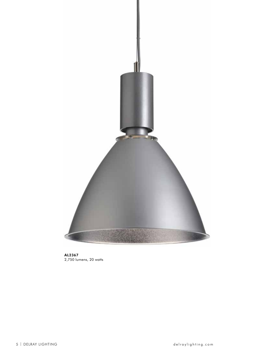

AL2367 2,750 lumens, 20 watts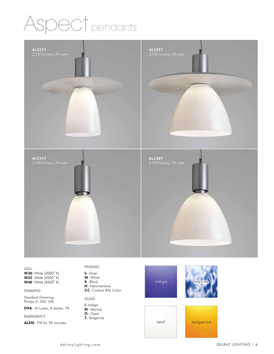### $SOC$ T pendants



LEDs **W30**–White (3000° K) W35–White (3500º K) W40–White (4000º K)

### DIMMING

Standard Dimming: Philips 0–10V, 15%

D9A: Hi-Lume, A-Series, 1%

EMERGENCY

ALEM –7W for 90 minutes

### FINISHES

S–Silver W–White K–Black H–Hammertone CC–Custom RAL Color

GLASS I–Indigo M-Marine  $O-O$ pal T–Tangerine

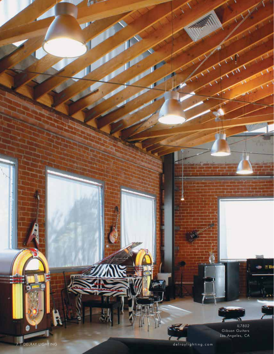*IL7802 Gibson Guitars Los Angeles, CA* **用Ba** 

i.

Ŏ

**CONTRACTOR** 

侗

 $\mathbf{w}$ 

delraylighting.com

**A**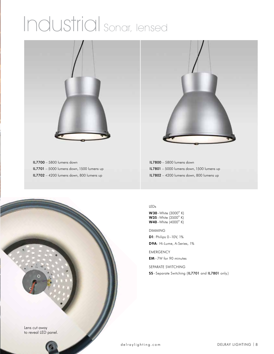## Industrial sonar, lensed



IL7700 – 5800 lumens down IL7701 – 5000 lumens down, 1500 lumens up IL7702 – 4200 lumens down, 800 lumens up



IL7800 – 5800 lumens down IL7801 – 5000 lumens down, 1500 lumens up IL7802 – 4200 lumens down, 800 lumens up

### LEDs

W30–White (3000º K) W35–White (3500º K) W40–White (4000º K)

DIMMING

D1: Philips 0–10V, 1% D9A: Hi-Lume, A-Series, 1%

**EMERGENCY** 

EM –7W for 90 minutes

SEPARATE SWITCHING

SS–Separate Switching (IL7701 and IL7801 only.)

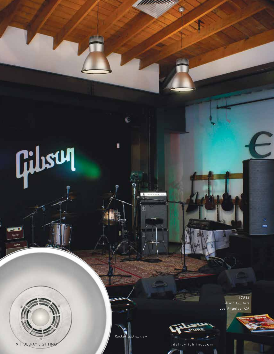

o



*Rocket LED upview*

MIT

**All Line** 

C

 $\overline{K}$ 

 $............$ 

ı



 $\mathbf{H}$ 

IL7814 Gibson Guitars Los Angeles, CA



 $\equiv$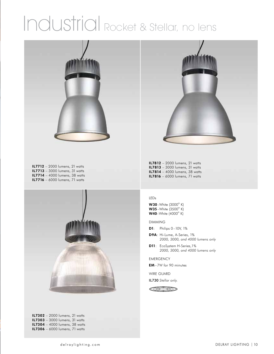### Industrial Rocket & Stellar, no lens





IL7302 – 2000 lumens, 21 watts IL7303 – 3000 lumens, 31 watts IL7304 – 4000 lumens, 38 watts IL7306 – 6000 lumens, 71 watts

LEDs

**W30**-White (3000° K) W35–White (3500º K) **W40**–White (4000° K)

DIMMING

D1: Philips 0–10V, 1%

- D9A: Hi-Lume, A-Series, 1% *2000, 3000, and 4000 lumens only*
- D11: EcoSystem H-Series, 1% *2000, 3000, and 4000 lumens only*

EMERGENCY

EM –7W for 90 minutes

WIRE GUARD

IL730 *Stellar only.*